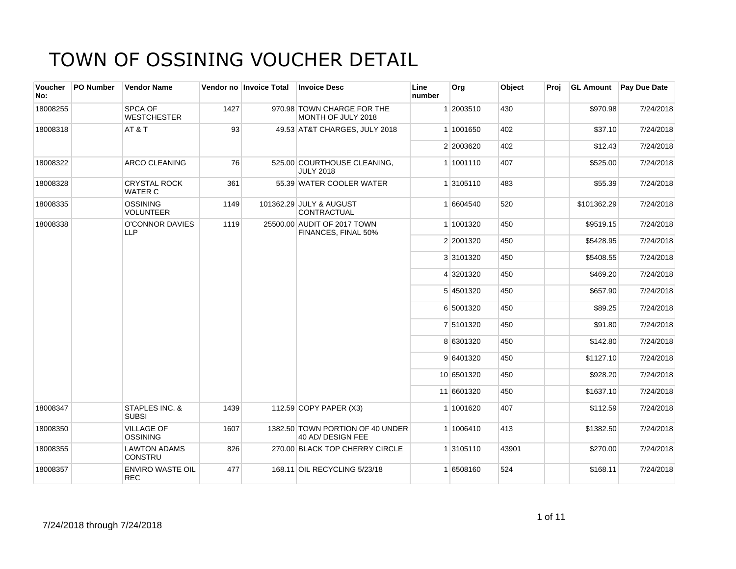| Voucher<br>No: | PO Number | <b>Vendor Name</b>                    |      | Vendor no Invoice Total | <b>Invoice Desc</b>                                   | Line<br>number | Org        | Object | Proj |             | <b>GL Amount</b> Pay Due Date |
|----------------|-----------|---------------------------------------|------|-------------------------|-------------------------------------------------------|----------------|------------|--------|------|-------------|-------------------------------|
| 18008255       |           | SPCA OF<br><b>WESTCHESTER</b>         | 1427 |                         | 970.98 TOWN CHARGE FOR THE<br>MONTH OF JULY 2018      |                | 1 2003510  | 430    |      | \$970.98    | 7/24/2018                     |
| 18008318       |           | AT&T                                  | 93   |                         | 49.53 AT&T CHARGES, JULY 2018                         |                | 1 1001650  | 402    |      | \$37.10     | 7/24/2018                     |
|                |           |                                       |      |                         |                                                       |                | 2 2003620  | 402    |      | \$12.43     | 7/24/2018                     |
| 18008322       |           | ARCO CLEANING                         | 76   |                         | 525.00 COURTHOUSE CLEANING,<br><b>JULY 2018</b>       |                | 1 1001110  | 407    |      | \$525.00    | 7/24/2018                     |
| 18008328       |           | <b>CRYSTAL ROCK</b><br><b>WATER C</b> | 361  |                         | 55.39 WATER COOLER WATER                              |                | 1 3105110  | 483    |      | \$55.39     | 7/24/2018                     |
| 18008335       |           | <b>OSSINING</b><br><b>VOLUNTEER</b>   | 1149 |                         | 101362.29 JULY & AUGUST<br>CONTRACTUAL                |                | 1 6604540  | 520    |      | \$101362.29 | 7/24/2018                     |
| 18008338       |           | O'CONNOR DAVIES<br><b>LLP</b>         | 1119 |                         | 25500.00 AUDIT OF 2017 TOWN<br>FINANCES, FINAL 50%    |                | 1 1001320  | 450    |      | \$9519.15   | 7/24/2018                     |
|                |           |                                       |      |                         |                                                       |                | 2 2001320  | 450    |      | \$5428.95   | 7/24/2018                     |
|                |           |                                       |      |                         |                                                       |                | 3 3101320  | 450    |      | \$5408.55   | 7/24/2018                     |
|                |           |                                       |      |                         |                                                       |                | 4 3201320  | 450    |      | \$469.20    | 7/24/2018                     |
|                |           |                                       |      |                         |                                                       |                | 5 4501320  | 450    |      | \$657.90    | 7/24/2018                     |
|                |           |                                       |      |                         |                                                       |                | 6 5001320  | 450    |      | \$89.25     | 7/24/2018                     |
|                |           |                                       |      |                         |                                                       |                | 7 5101320  | 450    |      | \$91.80     | 7/24/2018                     |
|                |           |                                       |      |                         |                                                       |                | 8 6301320  | 450    |      | \$142.80    | 7/24/2018                     |
|                |           |                                       |      |                         |                                                       |                | 9 6401320  | 450    |      | \$1127.10   | 7/24/2018                     |
|                |           |                                       |      |                         |                                                       |                | 10 6501320 | 450    |      | \$928.20    | 7/24/2018                     |
|                |           |                                       |      |                         |                                                       |                | 11 6601320 | 450    |      | \$1637.10   | 7/24/2018                     |
| 18008347       |           | STAPLES INC. &<br><b>SUBSI</b>        | 1439 |                         | 112.59 COPY PAPER (X3)                                |                | 1 1001620  | 407    |      | \$112.59    | 7/24/2018                     |
| 18008350       |           | <b>VILLAGE OF</b><br><b>OSSINING</b>  | 1607 |                         | 1382.50 TOWN PORTION OF 40 UNDER<br>40 AD/ DESIGN FEE |                | 1 1006410  | 413    |      | \$1382.50   | 7/24/2018                     |
| 18008355       |           | <b>LAWTON ADAMS</b><br>CONSTRU        | 826  |                         | 270.00 BLACK TOP CHERRY CIRCLE                        |                | 1 3105110  | 43901  |      | \$270.00    | 7/24/2018                     |
| 18008357       |           | <b>ENVIRO WASTE OIL</b><br><b>REC</b> | 477  |                         | 168.11 OIL RECYCLING 5/23/18                          |                | 1 6508160  | 524    |      | \$168.11    | 7/24/2018                     |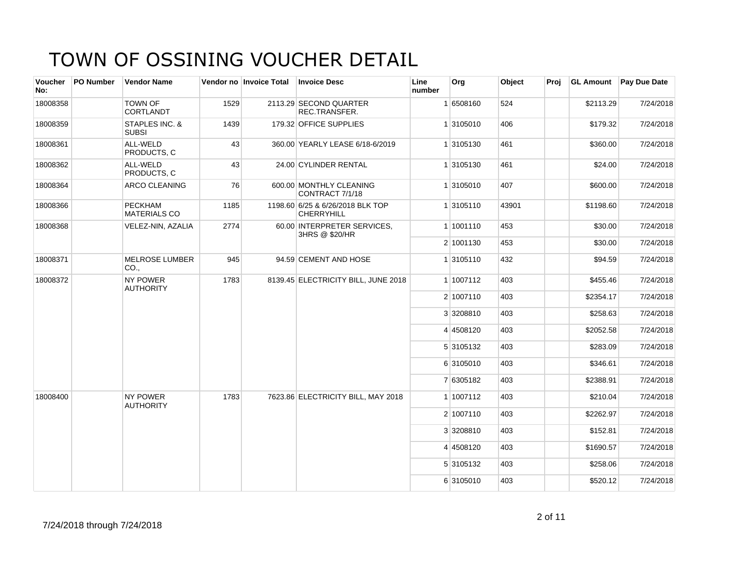| <b>Voucher</b><br>No: | PO Number | <b>Vendor Name</b>                    |      | Vendor no Invoice Total | <b>Invoice Desc</b>                                   | Line<br>number | Org       | Object | Proi |           | <b>GL Amount</b> Pay Due Date |
|-----------------------|-----------|---------------------------------------|------|-------------------------|-------------------------------------------------------|----------------|-----------|--------|------|-----------|-------------------------------|
| 18008358              |           | <b>TOWN OF</b><br><b>CORTLANDT</b>    | 1529 |                         | 2113.29 SECOND QUARTER<br>REC.TRANSFER.               |                | 1 6508160 | 524    |      | \$2113.29 | 7/24/2018                     |
| 18008359              |           | STAPLES INC. &<br><b>SUBSI</b>        | 1439 |                         | 179.32 OFFICE SUPPLIES                                |                | 1 3105010 | 406    |      | \$179.32  | 7/24/2018                     |
| 18008361              |           | ALL-WELD<br>PRODUCTS. C               | 43   |                         | 360.00 YEARLY LEASE 6/18-6/2019                       |                | 1 3105130 | 461    |      | \$360.00  | 7/24/2018                     |
| 18008362              |           | ALL-WELD<br>PRODUCTS, C               | 43   |                         | 24.00 CYLINDER RENTAL                                 |                | 1 3105130 | 461    |      | \$24.00   | 7/24/2018                     |
| 18008364              |           | <b>ARCO CLEANING</b>                  | 76   |                         | 600.00 MONTHLY CLEANING<br>CONTRACT 7/1/18            |                | 1 3105010 | 407    |      | \$600.00  | 7/24/2018                     |
| 18008366              |           | <b>PECKHAM</b><br><b>MATERIALS CO</b> | 1185 |                         | 1198.60 6/25 & 6/26/2018 BLK TOP<br><b>CHERRYHILL</b> |                | 1 3105110 | 43901  |      | \$1198.60 | 7/24/2018                     |
| 18008368              |           | VELEZ-NIN, AZALIA                     | 2774 |                         | 60.00 INTERPRETER SERVICES,<br>3HRS @ \$20/HR         |                | 1 1001110 | 453    |      | \$30.00   | 7/24/2018                     |
|                       |           |                                       |      |                         |                                                       |                | 2 1001130 | 453    |      | \$30.00   | 7/24/2018                     |
| 18008371              |           | <b>MELROSE LUMBER</b><br>CO.,         | 945  |                         | 94.59 CEMENT AND HOSE                                 |                | 1 3105110 | 432    |      | \$94.59   | 7/24/2018                     |
| 18008372              |           | <b>NY POWER</b><br><b>AUTHORITY</b>   | 1783 |                         | 8139.45 ELECTRICITY BILL, JUNE 2018                   |                | 1 1007112 | 403    |      | \$455.46  | 7/24/2018                     |
|                       |           |                                       |      |                         |                                                       |                | 2 1007110 | 403    |      | \$2354.17 | 7/24/2018                     |
|                       |           |                                       |      |                         |                                                       |                | 3 3208810 | 403    |      | \$258.63  | 7/24/2018                     |
|                       |           |                                       |      |                         |                                                       |                | 4 4508120 | 403    |      | \$2052.58 | 7/24/2018                     |
|                       |           |                                       |      |                         |                                                       |                | 5 3105132 | 403    |      | \$283.09  | 7/24/2018                     |
|                       |           |                                       |      |                         |                                                       |                | 6 3105010 | 403    |      | \$346.61  | 7/24/2018                     |
|                       |           |                                       |      |                         |                                                       |                | 7 6305182 | 403    |      | \$2388.91 | 7/24/2018                     |
| 18008400              |           | <b>NY POWER</b><br><b>AUTHORITY</b>   | 1783 |                         | 7623.86 ELECTRICITY BILL, MAY 2018                    |                | 1 1007112 | 403    |      | \$210.04  | 7/24/2018                     |
|                       |           |                                       |      |                         |                                                       |                | 2 1007110 | 403    |      | \$2262.97 | 7/24/2018                     |
|                       |           |                                       |      |                         |                                                       |                | 3 3208810 | 403    |      | \$152.81  | 7/24/2018                     |
|                       |           |                                       |      |                         |                                                       |                | 4 4508120 | 403    |      | \$1690.57 | 7/24/2018                     |
|                       |           |                                       |      |                         |                                                       |                | 5 3105132 | 403    |      | \$258.06  | 7/24/2018                     |
|                       |           |                                       |      |                         |                                                       |                | 6 3105010 | 403    |      | \$520.12  | 7/24/2018                     |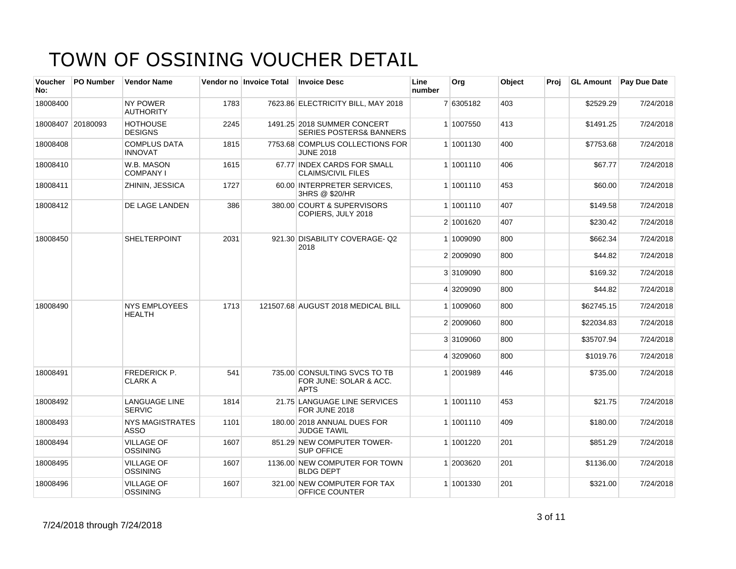| <b>Voucher</b><br>No: | <b>PO Number</b>  | <b>Vendor Name</b>                    |      | Vendor no Invoice Total | <b>Invoice Desc</b>                                                   | Line<br>number | Org       | <b>Object</b> | Proj | <b>GL Amount</b> | <b>Pay Due Date</b> |
|-----------------------|-------------------|---------------------------------------|------|-------------------------|-----------------------------------------------------------------------|----------------|-----------|---------------|------|------------------|---------------------|
| 18008400              |                   | <b>NY POWER</b><br><b>AUTHORITY</b>   | 1783 |                         | 7623.86 ELECTRICITY BILL, MAY 2018                                    |                | 7 6305182 | 403           |      | \$2529.29        | 7/24/2018           |
|                       | 18008407 20180093 | <b>HOTHOUSE</b><br><b>DESIGNS</b>     | 2245 |                         | 1491.25 2018 SUMMER CONCERT<br><b>SERIES POSTERS&amp; BANNERS</b>     |                | 1 1007550 | 413           |      | \$1491.25        | 7/24/2018           |
| 18008408              |                   | <b>COMPLUS DATA</b><br><b>INNOVAT</b> | 1815 |                         | 7753.68 COMPLUS COLLECTIONS FOR<br><b>JUNE 2018</b>                   |                | 1 1001130 | 400           |      | \$7753.68        | 7/24/2018           |
| 18008410              |                   | W.B. MASON<br><b>COMPANY I</b>        | 1615 |                         | 67.77 INDEX CARDS FOR SMALL<br><b>CLAIMS/CIVIL FILES</b>              |                | 1 1001110 | 406           |      | \$67.77          | 7/24/2018           |
| 18008411              |                   | ZHININ, JESSICA                       | 1727 |                         | 60.00 INTERPRETER SERVICES.<br>3HRS @ \$20/HR                         |                | 1 1001110 | 453           |      | \$60.00          | 7/24/2018           |
| 18008412              |                   | DE LAGE LANDEN                        | 386  |                         | 380.00 COURT & SUPERVISORS<br>COPIERS, JULY 2018                      |                | 1 1001110 | 407           |      | \$149.58         | 7/24/2018           |
|                       |                   |                                       |      |                         |                                                                       |                | 2 1001620 | 407           |      | \$230.42         | 7/24/2018           |
| 18008450              |                   | <b>SHELTERPOINT</b>                   | 2031 |                         | 921.30 DISABILITY COVERAGE-Q2<br>2018                                 |                | 1 1009090 | 800           |      | \$662.34         | 7/24/2018           |
|                       |                   |                                       |      |                         |                                                                       |                | 2 2009090 | 800           |      | \$44.82          | 7/24/2018           |
|                       |                   |                                       |      |                         |                                                                       |                | 3 3109090 | 800           |      | \$169.32         | 7/24/2018           |
|                       |                   |                                       |      |                         |                                                                       |                | 4 3209090 | 800           |      | \$44.82          | 7/24/2018           |
| 18008490              |                   | <b>NYS EMPLOYEES</b><br><b>HEALTH</b> | 1713 |                         | 121507.68 AUGUST 2018 MEDICAL BILL                                    |                | 1 1009060 | 800           |      | \$62745.15       | 7/24/2018           |
|                       |                   |                                       |      |                         |                                                                       |                | 2 2009060 | 800           |      | \$22034.83       | 7/24/2018           |
|                       |                   |                                       |      |                         |                                                                       |                | 3 3109060 | 800           |      | \$35707.94       | 7/24/2018           |
|                       |                   |                                       |      |                         |                                                                       |                | 4 3209060 | 800           |      | \$1019.76        | 7/24/2018           |
| 18008491              |                   | <b>FREDERICK P.</b><br><b>CLARK A</b> | 541  |                         | 735.00 CONSULTING SVCS TO TB<br>FOR JUNE: SOLAR & ACC.<br><b>APTS</b> |                | 1 2001989 | 446           |      | \$735.00         | 7/24/2018           |
| 18008492              |                   | <b>LANGUAGE LINE</b><br><b>SERVIC</b> | 1814 |                         | 21.75 LANGUAGE LINE SERVICES<br>FOR JUNE 2018                         |                | 1 1001110 | 453           |      | \$21.75          | 7/24/2018           |
| 18008493              |                   | <b>NYS MAGISTRATES</b><br><b>ASSO</b> | 1101 |                         | 180.00 2018 ANNUAL DUES FOR<br><b>JUDGE TAWIL</b>                     |                | 1 1001110 | 409           |      | \$180.00         | 7/24/2018           |
| 18008494              |                   | <b>VILLAGE OF</b><br><b>OSSINING</b>  | 1607 |                         | 851.29 NEW COMPUTER TOWER-<br><b>SUP OFFICE</b>                       |                | 1 1001220 | 201           |      | \$851.29         | 7/24/2018           |
| 18008495              |                   | <b>VILLAGE OF</b><br><b>OSSINING</b>  | 1607 |                         | 1136.00 NEW COMPUTER FOR TOWN<br><b>BLDG DEPT</b>                     |                | 1 2003620 | 201           |      | \$1136.00        | 7/24/2018           |
| 18008496              |                   | <b>VILLAGE OF</b><br><b>OSSINING</b>  | 1607 |                         | 321.00 NEW COMPUTER FOR TAX<br>OFFICE COUNTER                         |                | 1 1001330 | 201           |      | \$321.00         | 7/24/2018           |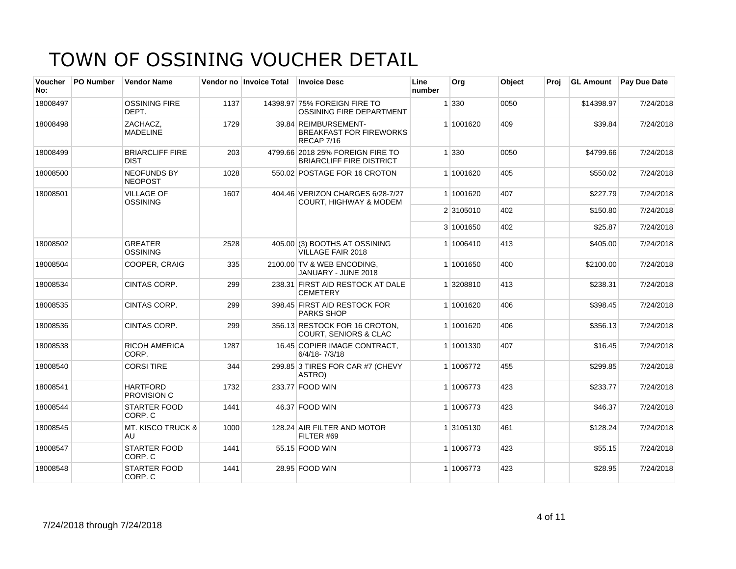| <b>Voucher</b><br>No: | PO Number | <b>Vendor Name</b>                    |      | Vendor no Invoice Total | <b>Invoice Desc</b>                                                   | Line<br>number | Org       | Object | Proj |            | <b>GL Amount</b> Pay Due Date |
|-----------------------|-----------|---------------------------------------|------|-------------------------|-----------------------------------------------------------------------|----------------|-----------|--------|------|------------|-------------------------------|
| 18008497              |           | <b>OSSINING FIRE</b><br>DEPT.         | 1137 |                         | 14398.97 75% FOREIGN FIRE TO<br>OSSINING FIRE DEPARTMENT              |                | 1 330     | 0050   |      | \$14398.97 | 7/24/2018                     |
| 18008498              |           | ZACHACZ.<br><b>MADELINE</b>           | 1729 |                         | 39.84 REIMBURSEMENT-<br><b>BREAKFAST FOR FIREWORKS</b><br>RECAP 7/16  |                | 1 1001620 | 409    |      | \$39.84    | 7/24/2018                     |
| 18008499              |           | <b>BRIARCLIFF FIRE</b><br><b>DIST</b> | 203  |                         | 4799.66 2018 25% FOREIGN FIRE TO<br><b>BRIARCLIFF FIRE DISTRICT</b>   |                | 1 330     | 0050   |      | \$4799.66  | 7/24/2018                     |
| 18008500              |           | <b>NEOFUNDS BY</b><br><b>NEOPOST</b>  | 1028 |                         | 550.02 POSTAGE FOR 16 CROTON                                          |                | 1 1001620 | 405    |      | \$550.02   | 7/24/2018                     |
| 18008501              |           | <b>VILLAGE OF</b><br><b>OSSINING</b>  | 1607 |                         | 404.46 VERIZON CHARGES 6/28-7/27<br><b>COURT, HIGHWAY &amp; MODEM</b> |                | 1 1001620 | 407    |      | \$227.79   | 7/24/2018                     |
|                       |           |                                       |      |                         |                                                                       |                | 2 3105010 | 402    |      | \$150.80   | 7/24/2018                     |
|                       |           |                                       |      |                         |                                                                       |                | 3 1001650 | 402    |      | \$25.87    | 7/24/2018                     |
| 18008502              |           | <b>GREATER</b><br><b>OSSINING</b>     | 2528 |                         | 405.00 (3) BOOTHS AT OSSINING<br>VILLAGE FAIR 2018                    |                | 1 1006410 | 413    |      | \$405.00   | 7/24/2018                     |
| 18008504              |           | COOPER, CRAIG                         | 335  |                         | 2100.00 TV & WEB ENCODING,<br>JANUARY - JUNE 2018                     |                | 1 1001650 | 400    |      | \$2100.00  | 7/24/2018                     |
| 18008534              |           | <b>CINTAS CORP.</b>                   | 299  |                         | 238.31 FIRST AID RESTOCK AT DALE<br><b>CEMETERY</b>                   |                | 1 3208810 | 413    |      | \$238.31   | 7/24/2018                     |
| 18008535              |           | CINTAS CORP.                          | 299  |                         | 398.45 FIRST AID RESTOCK FOR<br><b>PARKS SHOP</b>                     |                | 1 1001620 | 406    |      | \$398.45   | 7/24/2018                     |
| 18008536              |           | <b>CINTAS CORP.</b>                   | 299  |                         | 356.13 RESTOCK FOR 16 CROTON.<br>COURT, SENIORS & CLAC                |                | 1 1001620 | 406    |      | \$356.13   | 7/24/2018                     |
| 18008538              |           | <b>RICOH AMERICA</b><br>CORP.         | 1287 |                         | 16.45 COPIER IMAGE CONTRACT,<br>6/4/18-7/3/18                         |                | 1 1001330 | 407    |      | \$16.45    | 7/24/2018                     |
| 18008540              |           | <b>CORSI TIRE</b>                     | 344  |                         | 299.85 3 TIRES FOR CAR #7 (CHEVY<br>ASTRO)                            |                | 1 1006772 | 455    |      | \$299.85   | 7/24/2018                     |
| 18008541              |           | <b>HARTFORD</b><br><b>PROVISION C</b> | 1732 |                         | 233.77 FOOD WIN                                                       |                | 1 1006773 | 423    |      | \$233.77   | 7/24/2018                     |
| 18008544              |           | STARTER FOOD<br>CORP. C               | 1441 |                         | 46.37 FOOD WIN                                                        |                | 1 1006773 | 423    |      | \$46.37    | 7/24/2018                     |
| 18008545              |           | <b>MT. KISCO TRUCK &amp;</b><br>AU    | 1000 |                         | 128.24 AIR FILTER AND MOTOR<br>FILTER #69                             |                | 1 3105130 | 461    |      | \$128.24   | 7/24/2018                     |
| 18008547              |           | <b>STARTER FOOD</b><br>CORP. C        | 1441 |                         | 55.15 FOOD WIN                                                        |                | 1 1006773 | 423    |      | \$55.15    | 7/24/2018                     |
| 18008548              |           | <b>STARTER FOOD</b><br>CORP. C        | 1441 |                         | 28.95 FOOD WIN                                                        |                | 1 1006773 | 423    |      | \$28.95    | 7/24/2018                     |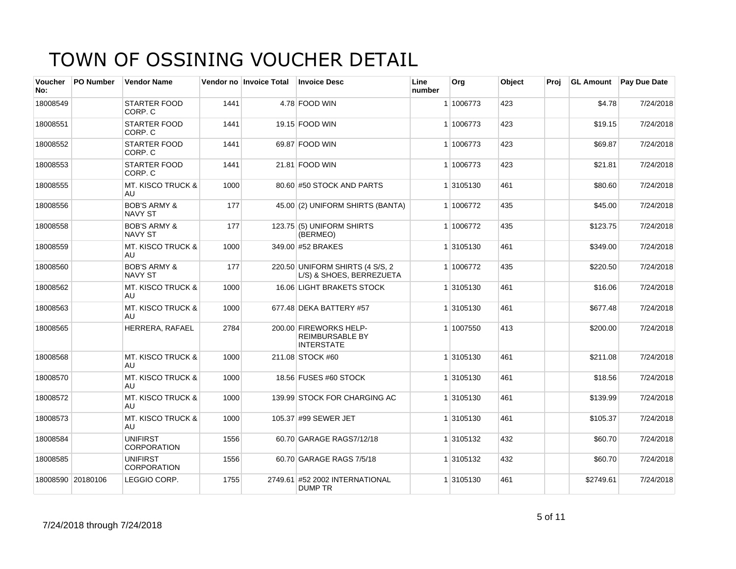| <b>Voucher</b><br>No: | <b>PO Number</b>  | <b>Vendor Name</b>                        |      | Vendor no Invoice Total | <b>Invoice Desc</b>                                                   | Line<br>number | Org       | Object | Proj | <b>GL Amount</b> | <b>Pay Due Date</b> |
|-----------------------|-------------------|-------------------------------------------|------|-------------------------|-----------------------------------------------------------------------|----------------|-----------|--------|------|------------------|---------------------|
| 18008549              |                   | <b>STARTER FOOD</b><br>CORP. C            | 1441 |                         | 4.78 FOOD WIN                                                         |                | 1 1006773 | 423    |      | \$4.78           | 7/24/2018           |
| 18008551              |                   | <b>STARTER FOOD</b><br>CORP. C            | 1441 |                         | 19.15 FOOD WIN                                                        |                | 1 1006773 | 423    |      | \$19.15          | 7/24/2018           |
| 18008552              |                   | <b>STARTER FOOD</b><br>CORP. C            | 1441 |                         | 69.87 FOOD WIN                                                        |                | 1 1006773 | 423    |      | \$69.87          | 7/24/2018           |
| 18008553              |                   | STARTER FOOD<br>CORP. C                   | 1441 |                         | 21.81 FOOD WIN                                                        |                | 1 1006773 | 423    |      | \$21.81          | 7/24/2018           |
| 18008555              |                   | <b>MT. KISCO TRUCK &amp;</b><br>AU        | 1000 |                         | 80.60 #50 STOCK AND PARTS                                             |                | 1 3105130 | 461    |      | \$80.60          | 7/24/2018           |
| 18008556              |                   | <b>BOB'S ARMY &amp;</b><br><b>NAVY ST</b> | 177  |                         | 45.00 (2) UNIFORM SHIRTS (BANTA)                                      |                | 1 1006772 | 435    |      | \$45.00          | 7/24/2018           |
| 18008558              |                   | <b>BOB'S ARMY &amp;</b><br><b>NAVY ST</b> | 177  |                         | 123.75 (5) UNIFORM SHIRTS<br>(BERMEO)                                 |                | 1 1006772 | 435    |      | \$123.75         | 7/24/2018           |
| 18008559              |                   | <b>MT. KISCO TRUCK &amp;</b><br>AU        | 1000 |                         | 349.00 #52 BRAKES                                                     |                | 1 3105130 | 461    |      | \$349.00         | 7/24/2018           |
| 18008560              |                   | <b>BOB'S ARMY &amp;</b><br>NAVY ST        | 177  |                         | 220.50 UNIFORM SHIRTS (4 S/S, 2<br>L/S) & SHOES, BERREZUETA           |                | 1 1006772 | 435    |      | \$220.50         | 7/24/2018           |
| 18008562              |                   | <b>MT. KISCO TRUCK &amp;</b><br>AU        | 1000 |                         | 16.06 LIGHT BRAKETS STOCK                                             |                | 1 3105130 | 461    |      | \$16.06          | 7/24/2018           |
| 18008563              |                   | <b>MT. KISCO TRUCK &amp;</b><br>AU        | 1000 |                         | 677.48 DEKA BATTERY #57                                               |                | 1 3105130 | 461    |      | \$677.48         | 7/24/2018           |
| 18008565              |                   | HERRERA, RAFAEL                           | 2784 |                         | 200.00 FIREWORKS HELP-<br><b>REIMBURSABLE BY</b><br><b>INTERSTATE</b> |                | 1 1007550 | 413    |      | \$200.00         | 7/24/2018           |
| 18008568              |                   | <b>MT. KISCO TRUCK &amp;</b><br>AU        | 1000 |                         | 211.08 STOCK #60                                                      |                | 1 3105130 | 461    |      | \$211.08         | 7/24/2018           |
| 18008570              |                   | MT. KISCO TRUCK &<br>AU                   | 1000 |                         | 18.56 FUSES #60 STOCK                                                 |                | 1 3105130 | 461    |      | \$18.56          | 7/24/2018           |
| 18008572              |                   | <b>MT. KISCO TRUCK &amp;</b><br>AU        | 1000 |                         | 139.99 STOCK FOR CHARGING AC                                          |                | 1 3105130 | 461    |      | \$139.99         | 7/24/2018           |
| 18008573              |                   | <b>MT. KISCO TRUCK &amp;</b><br>AU        | 1000 |                         | 105.37 #99 SEWER JET                                                  |                | 1 3105130 | 461    |      | \$105.37         | 7/24/2018           |
| 18008584              |                   | <b>UNIFIRST</b><br><b>CORPORATION</b>     | 1556 |                         | 60.70 GARAGE RAGS7/12/18                                              |                | 1 3105132 | 432    |      | \$60.70          | 7/24/2018           |
| 18008585              |                   | <b>UNIFIRST</b><br><b>CORPORATION</b>     | 1556 |                         | 60.70 GARAGE RAGS 7/5/18                                              |                | 1 3105132 | 432    |      | \$60.70          | 7/24/2018           |
|                       | 18008590 20180106 | LEGGIO CORP.                              | 1755 |                         | 2749.61 #52 2002 INTERNATIONAL<br><b>DUMP TR</b>                      |                | 1 3105130 | 461    |      | \$2749.61        | 7/24/2018           |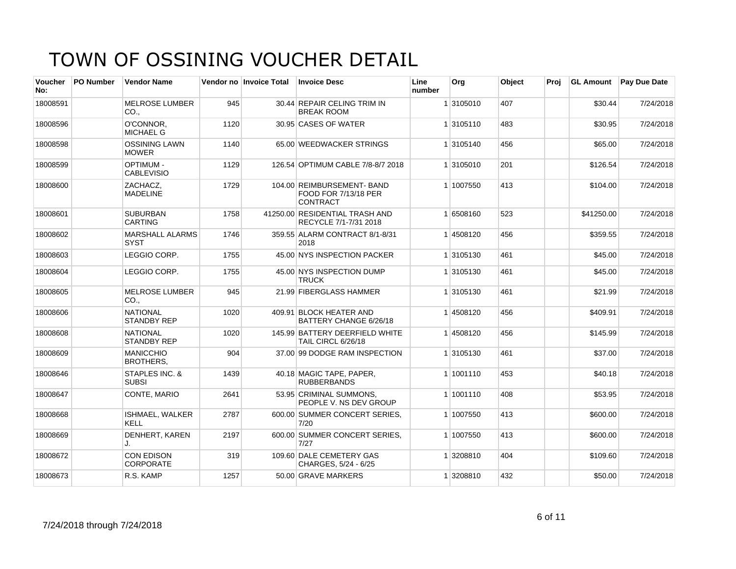| <b>Voucher</b><br>No: | <b>PO Number</b> | <b>Vendor Name</b>                    |      | Vendor no Invoice Total | <b>Invoice Desc</b>                                                   | Line<br>number | Org       | Object | Proi | <b>GL Amount</b> | <b>Pay Due Date</b> |
|-----------------------|------------------|---------------------------------------|------|-------------------------|-----------------------------------------------------------------------|----------------|-----------|--------|------|------------------|---------------------|
| 18008591              |                  | <b>MELROSE LUMBER</b><br>CO.          | 945  |                         | 30.44 REPAIR CELING TRIM IN<br><b>BREAK ROOM</b>                      |                | 1 3105010 | 407    |      | \$30.44          | 7/24/2018           |
| 18008596              |                  | O'CONNOR.<br><b>MICHAEL G</b>         | 1120 |                         | 30.95 CASES OF WATER                                                  |                | 1 3105110 | 483    |      | \$30.95          | 7/24/2018           |
| 18008598              |                  | <b>OSSINING LAWN</b><br><b>MOWER</b>  | 1140 |                         | 65.00 WEEDWACKER STRINGS                                              |                | 1 3105140 | 456    |      | \$65.00          | 7/24/2018           |
| 18008599              |                  | <b>OPTIMUM-</b><br><b>CABLEVISIO</b>  | 1129 |                         | 126.54 OPTIMUM CABLE 7/8-8/7 2018                                     |                | 1 3105010 | 201    |      | \$126.54         | 7/24/2018           |
| 18008600              |                  | ZACHACZ,<br><b>MADELINE</b>           | 1729 |                         | 104.00 REIMBURSEMENT- BAND<br>FOOD FOR 7/13/18 PER<br><b>CONTRACT</b> |                | 1 1007550 | 413    |      | \$104.00         | 7/24/2018           |
| 18008601              |                  | <b>SUBURBAN</b><br><b>CARTING</b>     | 1758 |                         | 41250.00 RESIDENTIAL TRASH AND<br>RECYCLE 7/1-7/31 2018               |                | 1 6508160 | 523    |      | \$41250.00       | 7/24/2018           |
| 18008602              |                  | <b>MARSHALL ALARMS</b><br><b>SYST</b> | 1746 |                         | 359.55 ALARM CONTRACT 8/1-8/31<br>2018                                |                | 14508120  | 456    |      | \$359.55         | 7/24/2018           |
| 18008603              |                  | LEGGIO CORP.                          | 1755 |                         | 45.00 NYS INSPECTION PACKER                                           |                | 1 3105130 | 461    |      | \$45.00          | 7/24/2018           |
| 18008604              |                  | LEGGIO CORP.                          | 1755 |                         | 45.00 NYS INSPECTION DUMP<br><b>TRUCK</b>                             |                | 1 3105130 | 461    |      | \$45.00          | 7/24/2018           |
| 18008605              |                  | <b>MELROSE LUMBER</b><br>CO.,         | 945  |                         | 21.99 FIBERGLASS HAMMER                                               |                | 1 3105130 | 461    |      | \$21.99          | 7/24/2018           |
| 18008606              |                  | <b>NATIONAL</b><br><b>STANDBY REP</b> | 1020 |                         | 409.91 BLOCK HEATER AND<br>BATTERY CHANGE 6/26/18                     |                | 14508120  | 456    |      | \$409.91         | 7/24/2018           |
| 18008608              |                  | <b>NATIONAL</b><br><b>STANDBY REP</b> | 1020 |                         | 145.99 BATTERY DEERFIELD WHITE<br>TAIL CIRCL 6/26/18                  |                | 14508120  | 456    |      | \$145.99         | 7/24/2018           |
| 18008609              |                  | <b>MANICCHIO</b><br><b>BROTHERS,</b>  | 904  |                         | 37.00 99 DODGE RAM INSPECTION                                         |                | 1 3105130 | 461    |      | \$37.00          | 7/24/2018           |
| 18008646              |                  | STAPLES INC. &<br><b>SUBSI</b>        | 1439 |                         | 40.18 MAGIC TAPE, PAPER,<br><b>RUBBERBANDS</b>                        |                | 1 1001110 | 453    |      | \$40.18          | 7/24/2018           |
| 18008647              |                  | CONTE, MARIO                          | 2641 |                         | 53.95 CRIMINAL SUMMONS.<br>PEOPLE V. NS DEV GROUP                     |                | 1 1001110 | 408    |      | \$53.95          | 7/24/2018           |
| 18008668              |                  | ISHMAEL, WALKER<br>KELL               | 2787 |                         | 600.00 SUMMER CONCERT SERIES,<br>7/20                                 |                | 1 1007550 | 413    |      | \$600.00         | 7/24/2018           |
| 18008669              |                  | DENHERT, KAREN<br>J.                  | 2197 |                         | 600.00 SUMMER CONCERT SERIES,<br>7/27                                 |                | 1 1007550 | 413    |      | \$600.00         | 7/24/2018           |
| 18008672              |                  | <b>CON EDISON</b><br><b>CORPORATE</b> | 319  |                         | 109.60 DALE CEMETERY GAS<br>CHARGES, 5/24 - 6/25                      |                | 1 3208810 | 404    |      | \$109.60         | 7/24/2018           |
| 18008673              |                  | R.S. KAMP                             | 1257 |                         | 50.00 GRAVE MARKERS                                                   |                | 1 3208810 | 432    |      | \$50.00          | 7/24/2018           |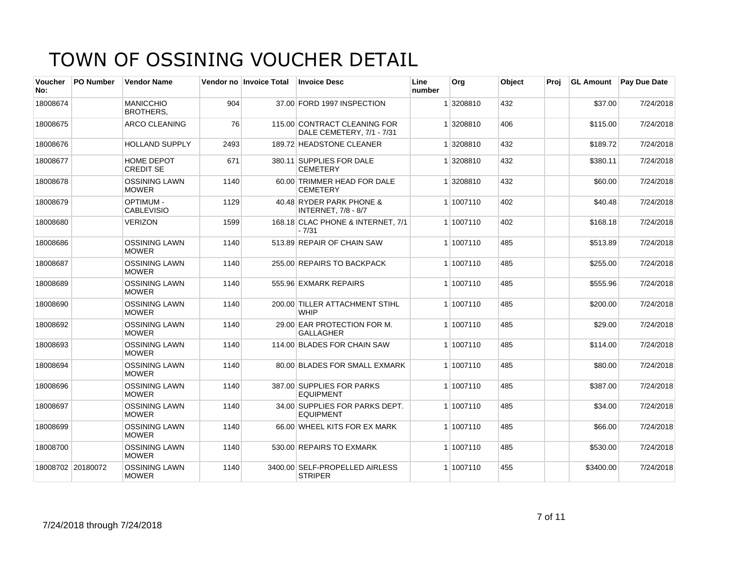| <b>Voucher</b><br>No: | <b>PO Number</b> | <b>Vendor Name</b>                    |      | Vendor no Invoice Total | <b>Invoice Desc</b>                                       | Line<br>number | Org       | Object | Proj |           | <b>GL Amount</b> Pay Due Date |
|-----------------------|------------------|---------------------------------------|------|-------------------------|-----------------------------------------------------------|----------------|-----------|--------|------|-----------|-------------------------------|
| 18008674              |                  | <b>MANICCHIO</b><br><b>BROTHERS,</b>  | 904  |                         | 37.00 FORD 1997 INSPECTION                                |                | 1 3208810 | 432    |      | \$37.00   | 7/24/2018                     |
| 18008675              |                  | <b>ARCO CLEANING</b>                  | 76   |                         | 115.00 CONTRACT CLEANING FOR<br>DALE CEMETERY, 7/1 - 7/31 |                | 1 3208810 | 406    |      | \$115.00  | 7/24/2018                     |
| 18008676              |                  | <b>HOLLAND SUPPLY</b>                 | 2493 |                         | 189.72 HEADSTONE CLEANER                                  |                | 1 3208810 | 432    |      | \$189.72  | 7/24/2018                     |
| 18008677              |                  | <b>HOME DEPOT</b><br><b>CREDIT SE</b> | 671  |                         | 380.11 SUPPLIES FOR DALE<br><b>CEMETERY</b>               |                | 1 3208810 | 432    |      | \$380.11  | 7/24/2018                     |
| 18008678              |                  | <b>OSSINING LAWN</b><br><b>MOWER</b>  | 1140 |                         | 60.00 TRIMMER HEAD FOR DALE<br><b>CEMETERY</b>            |                | 1 3208810 | 432    |      | \$60.00   | 7/24/2018                     |
| 18008679              |                  | <b>OPTIMUM-</b><br><b>CABLEVISIO</b>  | 1129 |                         | 40.48 RYDER PARK PHONE &<br><b>INTERNET, 7/8 - 8/7</b>    |                | 1 1007110 | 402    |      | \$40.48   | 7/24/2018                     |
| 18008680              |                  | <b>VERIZON</b>                        | 1599 |                         | 168.18 CLAC PHONE & INTERNET, 7/1<br>$-7/31$              |                | 1 1007110 | 402    |      | \$168.18  | 7/24/2018                     |
| 18008686              |                  | <b>OSSINING LAWN</b><br><b>MOWER</b>  | 1140 |                         | 513.89 REPAIR OF CHAIN SAW                                |                | 1 1007110 | 485    |      | \$513.89  | 7/24/2018                     |
| 18008687              |                  | <b>OSSINING LAWN</b><br><b>MOWER</b>  | 1140 |                         | 255.00 REPAIRS TO BACKPACK                                |                | 1 1007110 | 485    |      | \$255.00  | 7/24/2018                     |
| 18008689              |                  | <b>OSSINING LAWN</b><br><b>MOWER</b>  | 1140 |                         | 555.96 EXMARK REPAIRS                                     |                | 1 1007110 | 485    |      | \$555.96  | 7/24/2018                     |
| 18008690              |                  | <b>OSSINING LAWN</b><br><b>MOWER</b>  | 1140 |                         | 200.00 TILLER ATTACHMENT STIHL<br><b>WHIP</b>             |                | 1 1007110 | 485    |      | \$200.00  | 7/24/2018                     |
| 18008692              |                  | <b>OSSINING LAWN</b><br><b>MOWER</b>  | 1140 |                         | 29.00 EAR PROTECTION FOR M.<br><b>GALLAGHER</b>           |                | 1 1007110 | 485    |      | \$29.00   | 7/24/2018                     |
| 18008693              |                  | <b>OSSINING LAWN</b><br><b>MOWER</b>  | 1140 |                         | 114.00 BLADES FOR CHAIN SAW                               |                | 1 1007110 | 485    |      | \$114.00  | 7/24/2018                     |
| 18008694              |                  | <b>OSSINING LAWN</b><br><b>MOWER</b>  | 1140 |                         | 80.00 BLADES FOR SMALL EXMARK                             |                | 1 1007110 | 485    |      | \$80.00   | 7/24/2018                     |
| 18008696              |                  | <b>OSSINING LAWN</b><br><b>MOWER</b>  | 1140 |                         | 387.00 SUPPLIES FOR PARKS<br><b>EQUIPMENT</b>             |                | 1 1007110 | 485    |      | \$387.00  | 7/24/2018                     |
| 18008697              |                  | <b>OSSINING LAWN</b><br><b>MOWER</b>  | 1140 |                         | 34.00 SUPPLIES FOR PARKS DEPT.<br><b>EQUIPMENT</b>        |                | 1 1007110 | 485    |      | \$34.00   | 7/24/2018                     |
| 18008699              |                  | <b>OSSINING LAWN</b><br><b>MOWER</b>  | 1140 |                         | 66.00 WHEEL KITS FOR EX MARK                              |                | 1 1007110 | 485    |      | \$66.00   | 7/24/2018                     |
| 18008700              |                  | <b>OSSINING LAWN</b><br><b>MOWER</b>  | 1140 |                         | 530.00 REPAIRS TO EXMARK                                  |                | 1 1007110 | 485    |      | \$530.00  | 7/24/2018                     |
| 18008702 20180072     |                  | <b>OSSINING LAWN</b><br><b>MOWER</b>  | 1140 |                         | 3400.00 SELF-PROPELLED AIRLESS<br><b>STRIPER</b>          |                | 1 1007110 | 455    |      | \$3400.00 | 7/24/2018                     |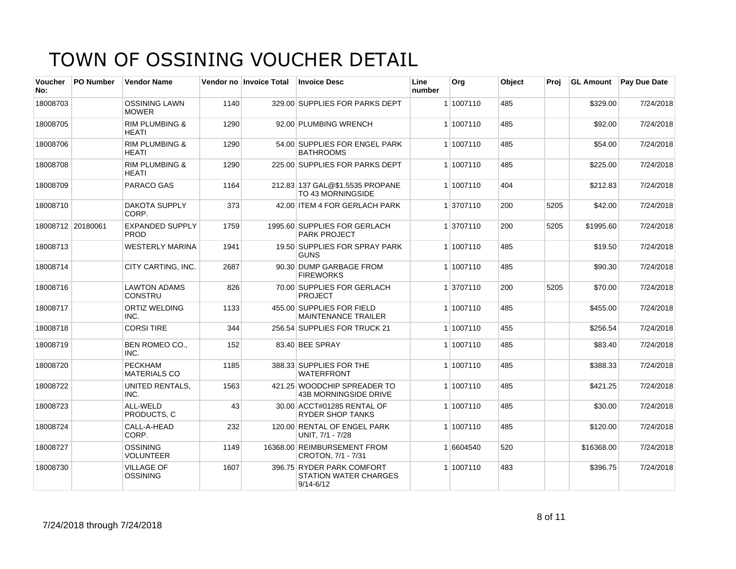| Voucher<br>No: | <b>PO Number</b>  | <b>Vendor Name</b>                        |      | Vendor no Invoice Total | <b>Invoice Desc</b>                                                        | Line<br>number | Org       | Object | Proi | <b>GL Amount</b> | Pay Due Date |
|----------------|-------------------|-------------------------------------------|------|-------------------------|----------------------------------------------------------------------------|----------------|-----------|--------|------|------------------|--------------|
| 18008703       |                   | <b>OSSINING LAWN</b><br><b>MOWER</b>      | 1140 |                         | 329.00 SUPPLIES FOR PARKS DEPT                                             |                | 1 1007110 | 485    |      | \$329.00         | 7/24/2018    |
| 18008705       |                   | <b>RIM PLUMBING &amp;</b><br>HEATI        | 1290 |                         | 92.00 PLUMBING WRENCH                                                      |                | 1 1007110 | 485    |      | \$92.00          | 7/24/2018    |
| 18008706       |                   | <b>RIM PLUMBING &amp;</b><br><b>HEATI</b> | 1290 |                         | 54.00 SUPPLIES FOR ENGEL PARK<br><b>BATHROOMS</b>                          |                | 1 1007110 | 485    |      | \$54.00          | 7/24/2018    |
| 18008708       |                   | <b>RIM PLUMBING &amp;</b><br><b>HEATI</b> | 1290 |                         | 225.00 SUPPLIES FOR PARKS DEPT                                             |                | 1 1007110 | 485    |      | \$225.00         | 7/24/2018    |
| 18008709       |                   | <b>PARACO GAS</b>                         | 1164 |                         | 212.83 137 GAL@\$1.5535 PROPANE<br>TO 43 MORNINGSIDE                       |                | 1 1007110 | 404    |      | \$212.83         | 7/24/2018    |
| 18008710       |                   | <b>DAKOTA SUPPLY</b><br>CORP.             | 373  |                         | 42.00 ITEM 4 FOR GERLACH PARK                                              |                | 1 3707110 | 200    | 5205 | \$42.00          | 7/24/2018    |
|                | 18008712 20180061 | <b>EXPANDED SUPPLY</b><br>PROD            | 1759 |                         | 1995.60 SUPPLIES FOR GERLACH<br><b>PARK PROJECT</b>                        |                | 1 3707110 | 200    | 5205 | \$1995.60        | 7/24/2018    |
| 18008713       |                   | <b>WESTERLY MARINA</b>                    | 1941 |                         | 19.50 SUPPLIES FOR SPRAY PARK<br><b>GUNS</b>                               |                | 1 1007110 | 485    |      | \$19.50          | 7/24/2018    |
| 18008714       |                   | CITY CARTING, INC.                        | 2687 |                         | 90.30 DUMP GARBAGE FROM<br><b>FIREWORKS</b>                                |                | 1 1007110 | 485    |      | \$90.30          | 7/24/2018    |
| 18008716       |                   | <b>LAWTON ADAMS</b><br><b>CONSTRU</b>     | 826  |                         | 70.00 SUPPLIES FOR GERLACH<br><b>PROJECT</b>                               |                | 1 3707110 | 200    | 5205 | \$70.00          | 7/24/2018    |
| 18008717       |                   | <b>ORTIZ WELDING</b><br>INC.              | 1133 |                         | 455.00 SUPPLIES FOR FIELD<br><b>MAINTENANCE TRAILER</b>                    |                | 1 1007110 | 485    |      | \$455.00         | 7/24/2018    |
| 18008718       |                   | <b>CORSI TIRE</b>                         | 344  |                         | 256.54 SUPPLIES FOR TRUCK 21                                               |                | 1 1007110 | 455    |      | \$256.54         | 7/24/2018    |
| 18008719       |                   | BEN ROMEO CO.,<br>INC.                    | 152  |                         | 83.40 BEE SPRAY                                                            |                | 1 1007110 | 485    |      | \$83.40          | 7/24/2018    |
| 18008720       |                   | <b>PECKHAM</b><br><b>MATERIALS CO</b>     | 1185 |                         | 388.33 SUPPLIES FOR THE<br><b>WATERFRONT</b>                               |                | 1 1007110 | 485    |      | \$388.33         | 7/24/2018    |
| 18008722       |                   | <b>UNITED RENTALS,</b><br>INC.            | 1563 |                         | 421.25 WOODCHIP SPREADER TO<br>43B MORNINGSIDE DRIVE                       |                | 1 1007110 | 485    |      | \$421.25         | 7/24/2018    |
| 18008723       |                   | ALL-WELD<br>PRODUCTS, C                   | 43   |                         | 30.00 ACCT#01285 RENTAL OF<br><b>RYDER SHOP TANKS</b>                      |                | 1 1007110 | 485    |      | \$30.00          | 7/24/2018    |
| 18008724       |                   | CALL-A-HEAD<br>CORP.                      | 232  |                         | 120.00 RENTAL OF ENGEL PARK<br>UNIT. 7/1 - 7/28                            |                | 1 1007110 | 485    |      | \$120.00         | 7/24/2018    |
| 18008727       |                   | OSSINING<br><b>VOLUNTEER</b>              | 1149 |                         | 16368.00 REIMBURSEMENT FROM<br>CROTON, 7/1 - 7/31                          |                | 1 6604540 | 520    |      | \$16368.00       | 7/24/2018    |
| 18008730       |                   | <b>VILLAGE OF</b><br><b>OSSINING</b>      | 1607 |                         | 396.75 RYDER PARK COMFORT<br><b>STATION WATER CHARGES</b><br>$9/14 - 6/12$ |                | 1 1007110 | 483    |      | \$396.75         | 7/24/2018    |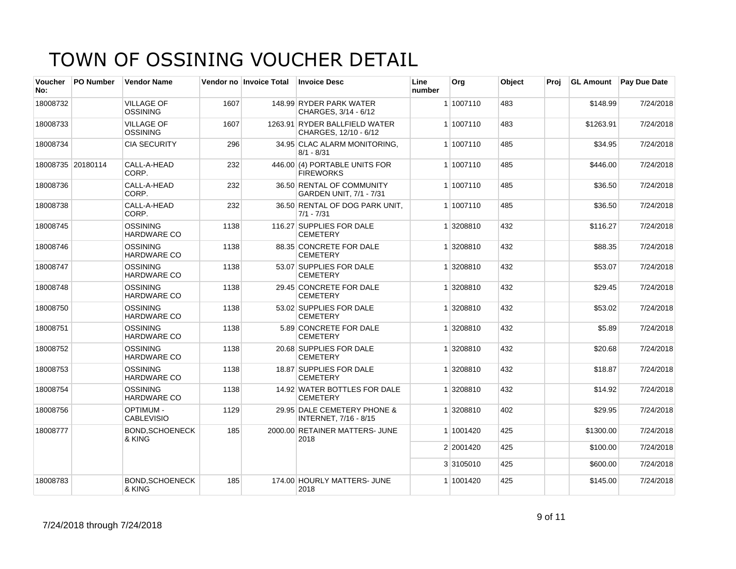| <b>Voucher</b><br>No: | <b>PO Number</b>  | <b>Vendor Name</b>                    |      | Vendor no Invoice Total | <b>Invoice Desc</b>                                    | Line<br>number | Org       | Object | Proj | <b>GL Amount</b> | <b>Pay Due Date</b> |
|-----------------------|-------------------|---------------------------------------|------|-------------------------|--------------------------------------------------------|----------------|-----------|--------|------|------------------|---------------------|
| 18008732              |                   | <b>VILLAGE OF</b><br><b>OSSINING</b>  | 1607 |                         | 148.99 RYDER PARK WATER<br>CHARGES, 3/14 - 6/12        |                | 1 1007110 | 483    |      | \$148.99         | 7/24/2018           |
| 18008733              |                   | <b>VILLAGE OF</b><br><b>OSSINING</b>  | 1607 |                         | 1263.91 RYDER BALLFIELD WATER<br>CHARGES, 12/10 - 6/12 |                | 1 1007110 | 483    |      | \$1263.91        | 7/24/2018           |
| 18008734              |                   | <b>CIA SECURITY</b>                   | 296  |                         | 34.95 CLAC ALARM MONITORING,<br>$8/1 - 8/31$           |                | 1 1007110 | 485    |      | \$34.95          | 7/24/2018           |
|                       | 18008735 20180114 | CALL-A-HEAD<br>CORP.                  | 232  |                         | 446.00 (4) PORTABLE UNITS FOR<br><b>FIREWORKS</b>      |                | 1 1007110 | 485    |      | \$446.00         | 7/24/2018           |
| 18008736              |                   | CALL-A-HEAD<br>CORP.                  | 232  |                         | 36.50 RENTAL OF COMMUNITY<br>GARDEN UNIT, 7/1 - 7/31   |                | 1 1007110 | 485    |      | \$36.50          | 7/24/2018           |
| 18008738              |                   | CALL-A-HEAD<br>CORP.                  | 232  |                         | 36.50 RENTAL OF DOG PARK UNIT,<br>$7/1 - 7/31$         |                | 1 1007110 | 485    |      | \$36.50          | 7/24/2018           |
| 18008745              |                   | <b>OSSINING</b><br>HARDWARE CO        | 1138 |                         | 116.27 SUPPLIES FOR DALE<br><b>CEMETERY</b>            |                | 1 3208810 | 432    |      | \$116.27         | 7/24/2018           |
| 18008746              |                   | <b>OSSINING</b><br><b>HARDWARE CO</b> | 1138 |                         | 88.35 CONCRETE FOR DALE<br><b>CEMETERY</b>             |                | 1 3208810 | 432    |      | \$88.35          | 7/24/2018           |
| 18008747              |                   | <b>OSSINING</b><br>HARDWARE CO        | 1138 |                         | 53.07 SUPPLIES FOR DALE<br><b>CEMETERY</b>             |                | 1 3208810 | 432    |      | \$53.07          | 7/24/2018           |
| 18008748              |                   | <b>OSSINING</b><br><b>HARDWARE CO</b> | 1138 |                         | 29.45 CONCRETE FOR DALE<br><b>CEMETERY</b>             |                | 1 3208810 | 432    |      | \$29.45          | 7/24/2018           |
| 18008750              |                   | <b>OSSINING</b><br>HARDWARE CO        | 1138 |                         | 53.02 SUPPLIES FOR DALE<br><b>CEMETERY</b>             |                | 1 3208810 | 432    |      | \$53.02          | 7/24/2018           |
| 18008751              |                   | <b>OSSINING</b><br><b>HARDWARE CO</b> | 1138 |                         | 5.89 CONCRETE FOR DALE<br><b>CEMETERY</b>              |                | 1 3208810 | 432    |      | \$5.89           | 7/24/2018           |
| 18008752              |                   | <b>OSSINING</b><br><b>HARDWARE CO</b> | 1138 |                         | 20.68 SUPPLIES FOR DALE<br><b>CEMETERY</b>             |                | 1 3208810 | 432    |      | \$20.68          | 7/24/2018           |
| 18008753              |                   | <b>OSSINING</b><br><b>HARDWARE CO</b> | 1138 |                         | 18.87 SUPPLIES FOR DALE<br><b>CEMETERY</b>             |                | 1 3208810 | 432    |      | \$18.87          | 7/24/2018           |
| 18008754              |                   | <b>OSSINING</b><br><b>HARDWARE CO</b> | 1138 |                         | 14.92 WATER BOTTLES FOR DALE<br><b>CEMETERY</b>        |                | 1 3208810 | 432    |      | \$14.92          | 7/24/2018           |
| 18008756              |                   | <b>OPTIMUM -</b><br><b>CABLEVISIO</b> | 1129 |                         | 29.95 DALE CEMETERY PHONE &<br>INTERNET, 7/16 - 8/15   |                | 1 3208810 | 402    |      | \$29.95          | 7/24/2018           |
| 18008777              |                   | BOND.SCHOENECK<br>& KING              | 185  |                         | 2000.00 RETAINER MATTERS- JUNE<br>2018                 |                | 1 1001420 | 425    |      | \$1300.00        | 7/24/2018           |
|                       |                   |                                       |      |                         |                                                        |                | 2 2001420 | 425    |      | \$100.00         | 7/24/2018           |
|                       |                   |                                       |      |                         |                                                        |                | 3 3105010 | 425    |      | \$600.00         | 7/24/2018           |
| 18008783              |                   | <b>BOND.SCHOENECK</b><br>& KING       | 185  |                         | 174.00 HOURLY MATTERS- JUNE<br>2018                    |                | 1 1001420 | 425    |      | \$145.00         | 7/24/2018           |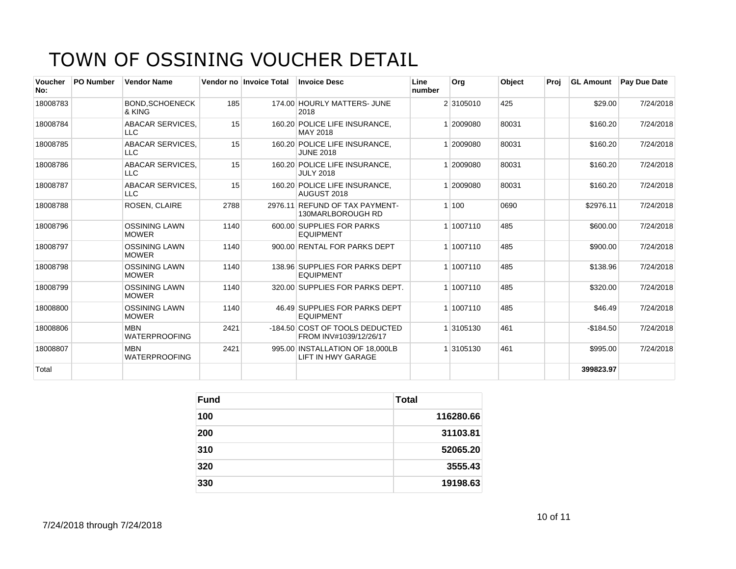| <b>Voucher</b><br>No: | <b>PO Number</b> | <b>Vendor Name</b>                    |      | Vendor no Invoice Total | <b>Invoice Desc</b>                                      | Line<br>number | Org       | <b>Object</b> | Proj | <b>GL Amount</b> | <b>Pav Due Date</b> |
|-----------------------|------------------|---------------------------------------|------|-------------------------|----------------------------------------------------------|----------------|-----------|---------------|------|------------------|---------------------|
| 18008783              |                  | <b>BOND.SCHOENECK</b><br>& KING       | 185  |                         | 174.00 HOURLY MATTERS- JUNE<br>2018                      |                | 2 3105010 | 425           |      | \$29.00          | 7/24/2018           |
| 18008784              |                  | ABACAR SERVICES.<br><b>LLC</b>        | 15   |                         | 160.20 POLICE LIFE INSURANCE.<br>MAY 2018                |                | 2009080   | 80031         |      | \$160.20         | 7/24/2018           |
| 18008785              |                  | <b>ABACAR SERVICES,</b><br><b>LLC</b> | 15   |                         | 160.20 POLICE LIFE INSURANCE,<br><b>JUNE 2018</b>        |                | 2009080   | 80031         |      | \$160.20         | 7/24/2018           |
| 18008786              |                  | ABACAR SERVICES.<br><b>LLC</b>        | 15   |                         | 160.20 POLICE LIFE INSURANCE.<br><b>JULY 2018</b>        |                | 2009080   | 80031         |      | \$160.20         | 7/24/2018           |
| 18008787              |                  | <b>ABACAR SERVICES.</b><br><b>LLC</b> | 15   |                         | 160.20 POLICE LIFE INSURANCE.<br>AUGUST 2018             |                | 2009080   | 80031         |      | \$160.20         | 7/24/2018           |
| 18008788              |                  | <b>ROSEN, CLAIRE</b>                  | 2788 |                         | 2976.11 REFUND OF TAX PAYMENT-<br>130MARLBOROUGH RD      |                | 1100      | 0690          |      | \$2976.11        | 7/24/2018           |
| 18008796              |                  | <b>OSSINING LAWN</b><br><b>MOWER</b>  | 1140 |                         | 600.00 SUPPLIES FOR PARKS<br><b>EQUIPMENT</b>            |                | 1 1007110 | 485           |      | \$600.00         | 7/24/2018           |
| 18008797              |                  | <b>OSSINING LAWN</b><br><b>MOWER</b>  | 1140 |                         | 900.00 RENTAL FOR PARKS DEPT                             |                | 1 1007110 | 485           |      | \$900.00         | 7/24/2018           |
| 18008798              |                  | <b>OSSINING LAWN</b><br><b>MOWER</b>  | 1140 |                         | 138.96 SUPPLIES FOR PARKS DEPT<br><b>EQUIPMENT</b>       |                | 1 1007110 | 485           |      | \$138.96         | 7/24/2018           |
| 18008799              |                  | <b>OSSINING LAWN</b><br><b>MOWER</b>  | 1140 |                         | 320.00 SUPPLIES FOR PARKS DEPT.                          |                | 1 1007110 | 485           |      | \$320.00         | 7/24/2018           |
| 18008800              |                  | <b>OSSINING LAWN</b><br><b>MOWER</b>  | 1140 |                         | 46.49 SUPPLIES FOR PARKS DEPT<br><b>EQUIPMENT</b>        |                | 1 1007110 | 485           |      | \$46.49          | 7/24/2018           |
| 18008806              |                  | <b>MBN</b><br><b>WATERPROOFING</b>    | 2421 |                         | -184.50 COST OF TOOLS DEDUCTED<br>FROM INV#1039/12/26/17 |                | 3105130   | 461           |      | $-$184.50$       | 7/24/2018           |
| 18008807              |                  | <b>MBN</b><br><b>WATERPROOFING</b>    | 2421 |                         | 995.00 INSTALLATION OF 18,000LB<br>LIFT IN HWY GARAGE    |                | 3105130   | 461           |      | \$995.00         | 7/24/2018           |
| Total                 |                  |                                       |      |                         |                                                          |                |           |               |      | 399823.97        |                     |

| <b>Fund</b> | <b>Total</b> |
|-------------|--------------|
| 100         | 116280.66    |
| 200         | 31103.81     |
| 310         | 52065.20     |
| 320         | 3555.43      |
| 330         | 19198.63     |